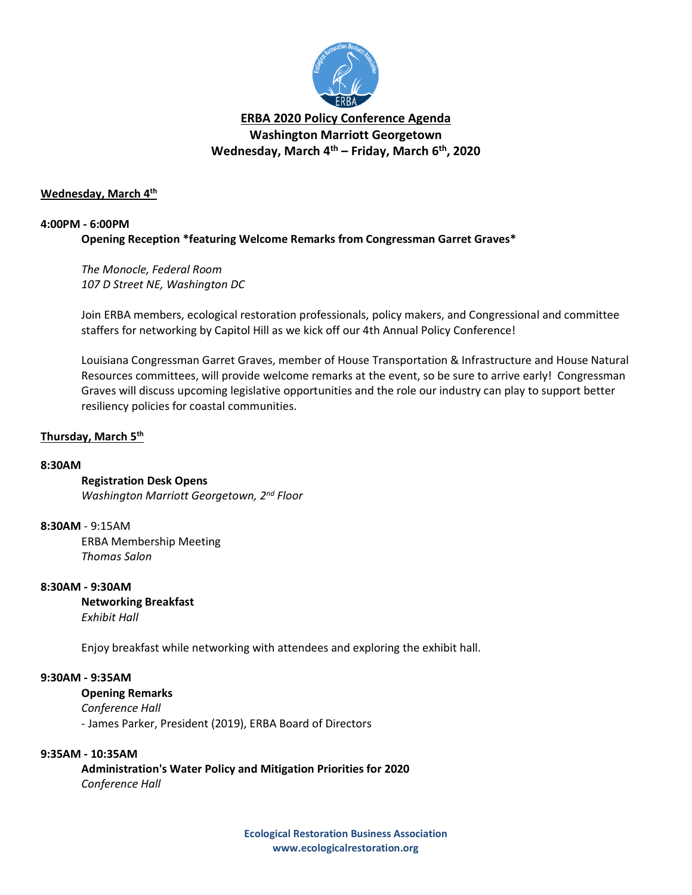

# **ERBA 2020 Policy Conference Agenda Washington Marriott Georgetown Wednesday, March 4th – Friday, March 6th, 2020**

## **Wednesday, March 4th**

## **4:00PM - 6:00PM**

# **Opening Reception \*featuring Welcome Remarks from Congressman Garret Graves\***

*The Monocle, Federal Room 107 D Street NE, Washington DC*

Join ERBA members, ecological restoration professionals, policy makers, and Congressional and committee staffers for networking by Capitol Hill as we kick off our 4th Annual Policy Conference!

Louisiana Congressman Garret Graves, member of House Transportation & Infrastructure and House Natural Resources committees, will provide welcome remarks at the event, so be sure to arrive early! Congressman Graves will discuss upcoming legislative opportunities and the role our industry can play to support better resiliency policies for coastal communities.

# **Thursday, March 5th**

#### **8:30AM**

# **Registration Desk Opens**

*Washington Marriott Georgetown, 2nd Floor*

#### **8:30AM** - 9:15AM

ERBA Membership Meeting *Thomas Salon*

#### **8:30AM - 9:30AM**

**Networking Breakfast** *Exhibit Hall* 

Enjoy breakfast while networking with attendees and exploring the exhibit hall.

# **9:30AM - 9:35AM**

#### **Opening Remarks**

*Conference Hall*

- James Parker, President (2019), ERBA Board of Directors

# **9:35AM - 10:35AM**

**Administration's Water Policy and Mitigation Priorities for 2020** *Conference Hall*

> **Ecological Restoration Business Association www.ecologicalrestoration.org**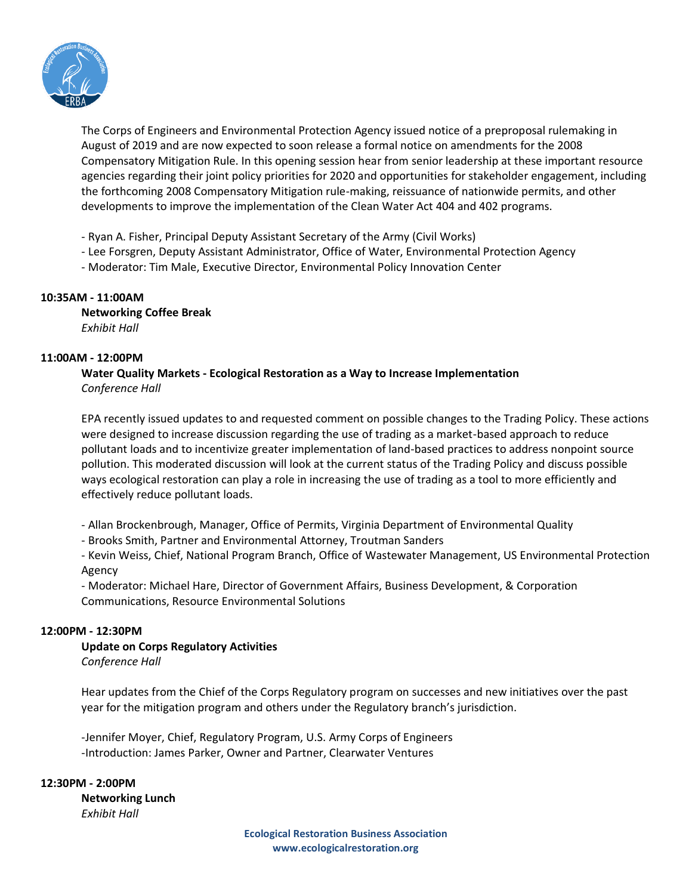

The Corps of Engineers and Environmental Protection Agency issued notice of a preproposal rulemaking in August of 2019 and are now expected to soon release a formal notice on amendments for the 2008 Compensatory Mitigation Rule. In this opening session hear from senior leadership at these important resource agencies regarding their joint policy priorities for 2020 and opportunities for stakeholder engagement, including the forthcoming 2008 Compensatory Mitigation rule-making, reissuance of nationwide permits, and other developments to improve the implementation of the Clean Water Act 404 and 402 programs.

- Ryan A. Fisher, Principal Deputy Assistant Secretary of the Army (Civil Works)

- Lee Forsgren, Deputy Assistant Administrator, Office of Water, Environmental Protection Agency
- Moderator: Tim Male, Executive Director, Environmental Policy Innovation Center

# **10:35AM - 11:00AM**

**Networking Coffee Break** *Exhibit Hall*

# **11:00AM - 12:00PM**

# **Water Quality Markets - Ecological Restoration as a Way to Increase Implementation** *Conference Hall*

EPA recently issued updates to and requested comment on possible changes to the Trading Policy. These actions were designed to increase discussion regarding the use of trading as a market-based approach to reduce pollutant loads and to incentivize greater implementation of land-based practices to address nonpoint source pollution. This moderated discussion will look at the current status of the Trading Policy and discuss possible ways ecological restoration can play a role in increasing the use of trading as a tool to more efficiently and effectively reduce pollutant loads.

- Allan Brockenbrough, Manager, Office of Permits, Virginia Department of Environmental Quality

- Brooks Smith, Partner and Environmental Attorney, Troutman Sanders

- Kevin Weiss, Chief, National Program Branch, Office of Wastewater Management, US Environmental Protection Agency

- Moderator: Michael Hare, Director of Government Affairs, Business Development, & Corporation Communications, Resource Environmental Solutions

# **12:00PM - 12:30PM**

# **Update on Corps Regulatory Activities**

*Conference Hall*

Hear updates from the Chief of the Corps Regulatory program on successes and new initiatives over the past year for the mitigation program and others under the Regulatory branch's jurisdiction.

-Jennifer Moyer, Chief, Regulatory Program, U.S. Army Corps of Engineers -Introduction: James Parker, Owner and Partner, Clearwater Ventures

**12:30PM - 2:00PM Networking Lunch** *Exhibit Hall*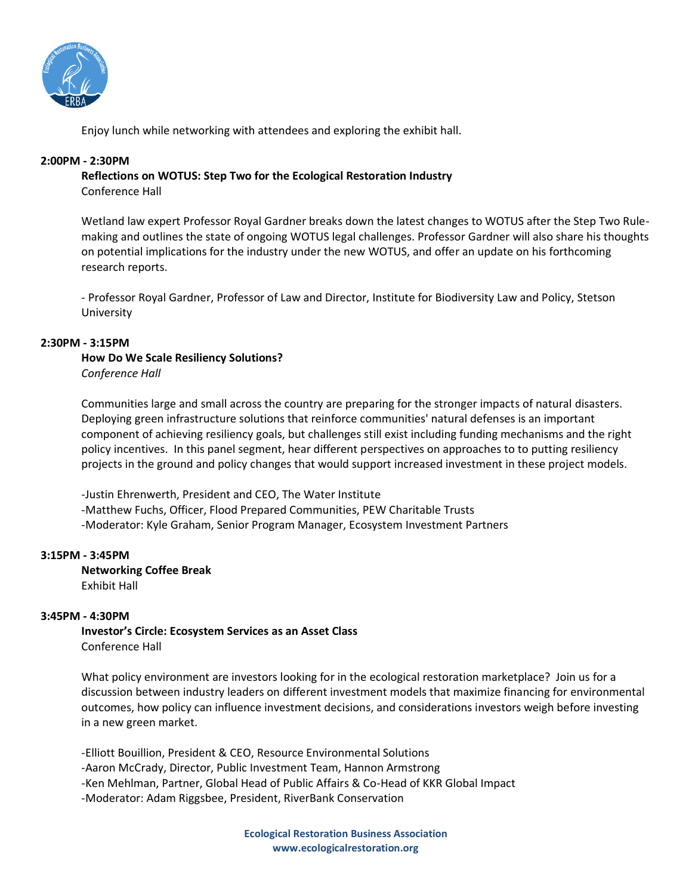

Enjoy lunch while networking with attendees and exploring the exhibit hall.

# **2:00PM - 2:30PM**

## **Reflections on WOTUS: Step Two for the Ecological Restoration Industry**  Conference Hall

Wetland law expert Professor Royal Gardner breaks down the latest changes to WOTUS after the Step Two Rulemaking and outlines the state of ongoing WOTUS legal challenges. Professor Gardner will also share his thoughts on potential implications for the industry under the new WOTUS, and offer an update on his forthcoming research reports.

- Professor Royal Gardner, Professor of Law and Director, Institute for Biodiversity Law and Policy, Stetson University

## **2:30PM - 3:15PM**

# **How Do We Scale Resiliency Solutions?** *Conference Hall*

Communities large and small across the country are preparing for the stronger impacts of natural disasters. Deploying green infrastructure solutions that reinforce communities' natural defenses is an important component of achieving resiliency goals, but challenges still exist including funding mechanisms and the right policy incentives. In this panel segment, hear different perspectives on approaches to to putting resiliency projects in the ground and policy changes that would support increased investment in these project models.

-Justin Ehrenwerth, President and CEO, The Water Institute -Matthew Fuchs, Officer, Flood Prepared Communities, PEW Charitable Trusts -Moderator: Kyle Graham, Senior Program Manager, Ecosystem Investment Partners

# **3:15PM - 3:45PM**

**Networking Coffee Break** Exhibit Hall

# **3:45PM - 4:30PM**

**Investor's Circle: Ecosystem Services as an Asset Class** Conference Hall

What policy environment are investors looking for in the ecological restoration marketplace? Join us for a discussion between industry leaders on different investment models that maximize financing for environmental outcomes, how policy can influence investment decisions, and considerations investors weigh before investing in a new green market.

-Elliott Bouillion, President & CEO, Resource Environmental Solutions -Aaron McCrady, Director, Public Investment Team, Hannon Armstrong -Ken Mehlman, Partner, Global Head of Public Affairs & Co-Head of KKR Global Impact -Moderator: Adam Riggsbee, President, RiverBank Conservation

> **Ecological Restoration Business Association www.ecologicalrestoration.org**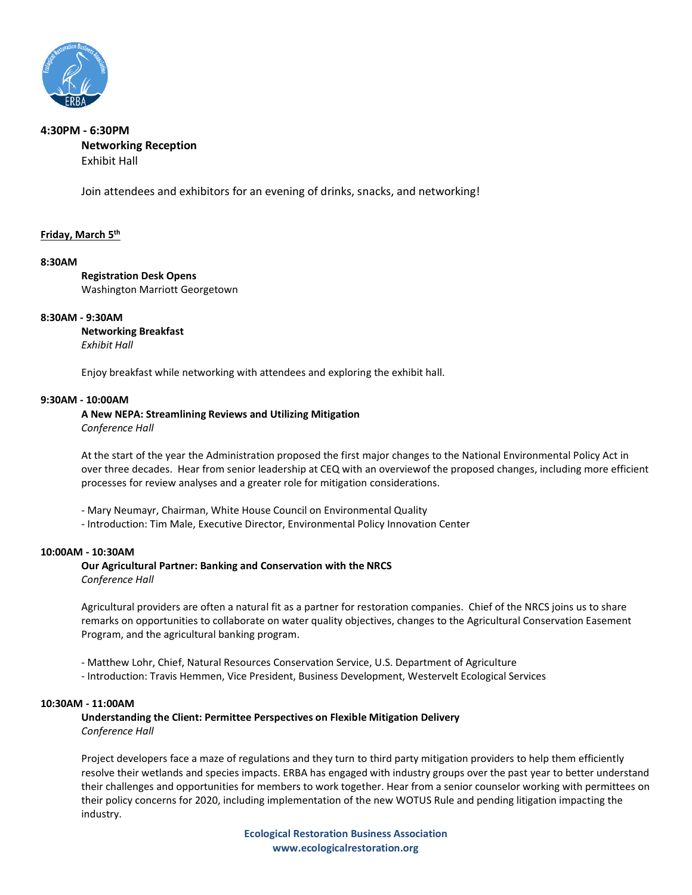

## **4:30PM - 6:30PM Networking Reception**  Exhibit Hall

Join attendees and exhibitors for an evening of drinks, snacks, and networking!

#### **Friday, March 5th**

#### **8:30AM**

**Registration Desk Opens** Washington Marriott Georgetown

#### **8:30AM - 9:30AM**

**Networking Breakfast** *Exhibit Hall*

Enjoy breakfast while networking with attendees and exploring the exhibit hall.

#### **9:30AM - 10:00AM**

**A New NEPA: Streamlining Reviews and Utilizing Mitigation** 

*Conference Hall*

At the start of the year the Administration proposed the first major changes to the National Environmental Policy Act in over three decades. Hear from senior leadership at CEQ with an overviewof the proposed changes, including more efficient processes for review analyses and a greater role for mitigation considerations.

- Mary Neumayr, Chairman, White House Council on Environmental Quality
- Introduction: Tim Male, Executive Director, Environmental Policy Innovation Center

#### **10:00AM - 10:30AM**

**Our Agricultural Partner: Banking and Conservation with the NRCS** *Conference Hall*

Agricultural providers are often a natural fit as a partner for restoration companies. Chief of the NRCS joins us to share remarks on opportunities to collaborate on water quality objectives, changes to the Agricultural Conservation Easement Program, and the agricultural banking program.

- Matthew Lohr, Chief, Natural Resources Conservation Service, U.S. Department of Agriculture

- Introduction: Travis Hemmen, Vice President, Business Development, Westervelt Ecological Services

#### **10:30AM - 11:00AM**

**Understanding the Client: Permittee Perspectives on Flexible Mitigation Delivery** *Conference Hall*

Project developers face a maze of regulations and they turn to third party mitigation providers to help them efficiently resolve their wetlands and species impacts. ERBA has engaged with industry groups over the past year to better understand their challenges and opportunities for members to work together. Hear from a senior counselor working with permittees on their policy concerns for 2020, including implementation of the new WOTUS Rule and pending litigation impacting the industry.

> **Ecological Restoration Business Association www.ecologicalrestoration.org**